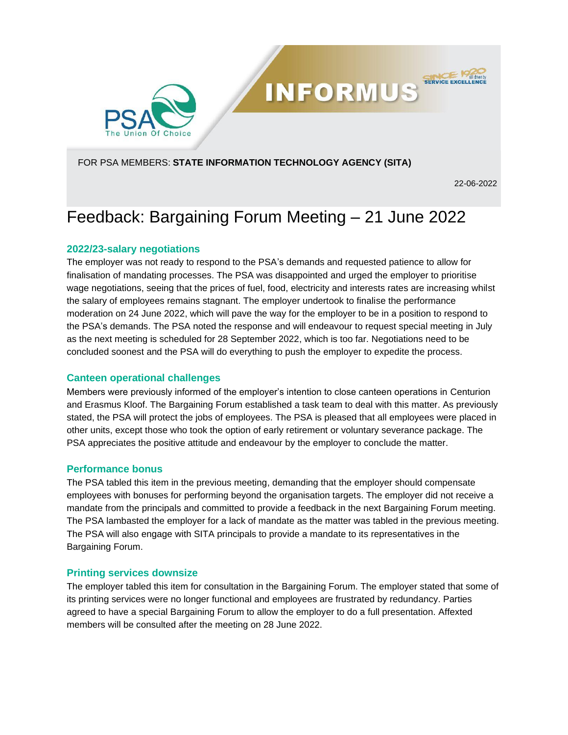



22-06-2022

SERVICE EXCELLEN

# Feedback: Bargaining Forum Meeting – 21 June 2022

**INFORMUS** 

## **2022/23-salary negotiations**

The employer was not ready to respond to the PSA's demands and requested patience to allow for finalisation of mandating processes. The PSA was disappointed and urged the employer to prioritise wage negotiations, seeing that the prices of fuel, food, electricity and interests rates are increasing whilst the salary of employees remains stagnant. The employer undertook to finalise the performance moderation on 24 June 2022, which will pave the way for the employer to be in a position to respond to the PSA's demands. The PSA noted the response and will endeavour to request special meeting in July as the next meeting is scheduled for 28 September 2022, which is too far. Negotiations need to be concluded soonest and the PSA will do everything to push the employer to expedite the process.

## **Canteen operational challenges**

Members were previously informed of the employer's intention to close canteen operations in Centurion and Erasmus Kloof. The Bargaining Forum established a task team to deal with this matter. As previously stated, the PSA will protect the jobs of employees. The PSA is pleased that all employees were placed in other units, except those who took the option of early retirement or voluntary severance package. The PSA appreciates the positive attitude and endeavour by the employer to conclude the matter.

## **Performance bonus**

The PSA tabled this item in the previous meeting, demanding that the employer should compensate employees with bonuses for performing beyond the organisation targets. The employer did not receive a mandate from the principals and committed to provide a feedback in the next Bargaining Forum meeting. The PSA lambasted the employer for a lack of mandate as the matter was tabled in the previous meeting. The PSA will also engage with SITA principals to provide a mandate to its representatives in the Bargaining Forum.

## **Printing services downsize**

The employer tabled this item for consultation in the Bargaining Forum. The employer stated that some of its printing services were no longer functional and employees are frustrated by redundancy. Parties agreed to have a special Bargaining Forum to allow the employer to do a full presentation. Affexted members will be consulted after the meeting on 28 June 2022.